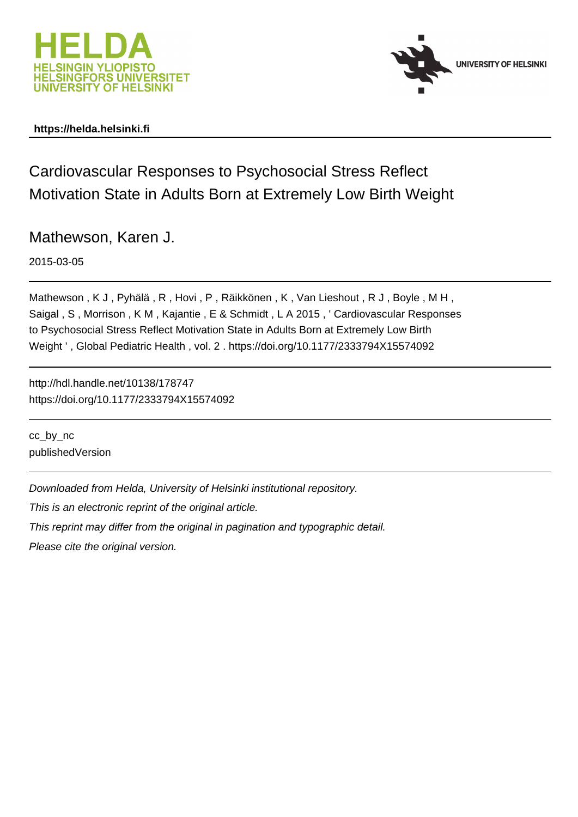



## **https://helda.helsinki.fi**

Cardiovascular Responses to Psychosocial Stress Reflect Motivation State in Adults Born at Extremely Low Birth Weight

## Mathewson, Karen J.

2015-03-05

Mathewson, K J, Pyhälä, R, Hovi, P, Räikkönen, K, Van Lieshout, R J, Boyle, M H, Saigal , S , Morrison , K M , Kajantie , E & Schmidt , L A 2015 , ' Cardiovascular Responses to Psychosocial Stress Reflect Motivation State in Adults Born at Extremely Low Birth Weight ' , Global Pediatric Health , vol. 2 . https://doi.org/10.1177/2333794X15574092

http://hdl.handle.net/10138/178747 https://doi.org/10.1177/2333794X15574092

cc\_by\_nc publishedVersion

Downloaded from Helda, University of Helsinki institutional repository.

This is an electronic reprint of the original article.

This reprint may differ from the original in pagination and typographic detail.

Please cite the original version.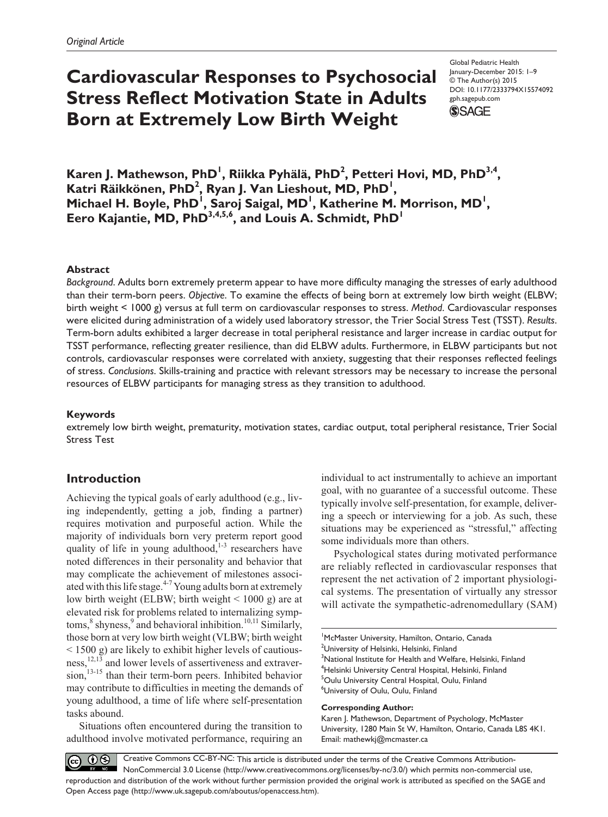# **Cardiovascular Responses to Psychosocial Stress Reflect Motivation State in Adults Born at Extremely Low Birth Weight**

Global Pediatric Health January-December 2015: 1–9 © The Author(s) 2015 DOI: 10.1177/2333794X15574092 gph.sagepub.com **SSAGE** 

Karen J. Mathewson, PhD<sup>I</sup>, Riikka Pyhälä, PhD<sup>2</sup>, Petteri Hovi, MD, PhD<sup>3,4</sup>, Katri Räikkönen, PhD<sup>2</sup>, Ryan J. Van Lieshout, MD, PhD<sup>1</sup>, Michael H. Boyle, PhD<sup>I</sup>, Saroj Saigal, MD<sup>I</sup>, Katherine M. Morrison, MD<sup>I</sup>, Eero Kajantie, MD, PhD<sup>3,4,5,6</sup>, and Louis A. Schmidt, PhD<sup>1</sup>

## **Abstract**

*Background*. Adults born extremely preterm appear to have more difficulty managing the stresses of early adulthood than their term-born peers. *Objective*. To examine the effects of being born at extremely low birth weight (ELBW; birth weight < 1000 g) versus at full term on cardiovascular responses to stress. *Method*. Cardiovascular responses were elicited during administration of a widely used laboratory stressor, the Trier Social Stress Test (TSST). *Results*. Term-born adults exhibited a larger decrease in total peripheral resistance and larger increase in cardiac output for TSST performance, reflecting greater resilience, than did ELBW adults. Furthermore, in ELBW participants but not controls, cardiovascular responses were correlated with anxiety, suggesting that their responses reflected feelings of stress. *Conclusions*. Skills-training and practice with relevant stressors may be necessary to increase the personal resources of ELBW participants for managing stress as they transition to adulthood.

#### **Keywords**

extremely low birth weight, prematurity, motivation states, cardiac output, total peripheral resistance, Trier Social Stress Test

## **Introduction**

Achieving the typical goals of early adulthood (e.g., living independently, getting a job, finding a partner) requires motivation and purposeful action. While the majority of individuals born very preterm report good quality of life in young adulthood, $1-3$  researchers have noted differences in their personality and behavior that may complicate the achievement of milestones associated with this life stage.<sup>4-7</sup> Young adults born at extremely low birth weight (ELBW; birth weight < 1000 g) are at elevated risk for problems related to internalizing symp $toms$ ,  $\frac{8}{3}$  shyness,  $\frac{9}{3}$  and behavioral inhibition.<sup>10,11</sup> Similarly, those born at very low birth weight (VLBW; birth weight < 1500 g) are likely to exhibit higher levels of cautiousness,<sup>12,13</sup> and lower levels of assertiveness and extraversion,<sup>13-15</sup> than their term-born peers. Inhibited behavior may contribute to difficulties in meeting the demands of young adulthood, a time of life where self-presentation tasks abound.

Situations often encountered during the transition to adulthood involve motivated performance, requiring an

individual to act instrumentally to achieve an important goal, with no guarantee of a successful outcome. These typically involve self-presentation, for example, delivering a speech or interviewing for a job. As such, these situations may be experienced as "stressful," affecting some individuals more than others.

Psychological states during motivated performance are reliably reflected in cardiovascular responses that represent the net activation of 2 important physiological systems. The presentation of virtually any stressor will activate the sympathetic-adrenomedullary (SAM)

1 McMaster University, Hamilton, Ontario, Canada <sup>2</sup>University of Helsinki, Helsinki, Finland  $^3$ National Institute for Health and Welfare, Helsinki, Finland 4 Helsinki University Central Hospital, Helsinki, Finland <sup>5</sup>Oulu University Central Hospital, Oulu, Finland 6 University of Oulu, Oulu, Finland

#### **Corresponding Author:**

Karen J. Mathewson, Department of Psychology, McMaster University, 1280 Main St W, Hamilton, Ontario, Canada L8S 4K1. Email: [mathewkj@mcmaster.ca](mailto:mathewkj@mcmaster.ca)

Creative Commons CC-BY-NC: This article is distributed under the terms of the Creative Commons Attribution- $|00\rangle$  $\left(\mathrm{cc}\right)$ NonCommercial 3.0 License (http://www.creativecommons.org/licenses/by-nc/3.0/) which permits non-commercial use, reproduction and distribution of the work without further permission provided the original work is attributed as specified on the SAGE and Open Access page (http://www.uk.sagepub.com/aboutus/openaccess.htm).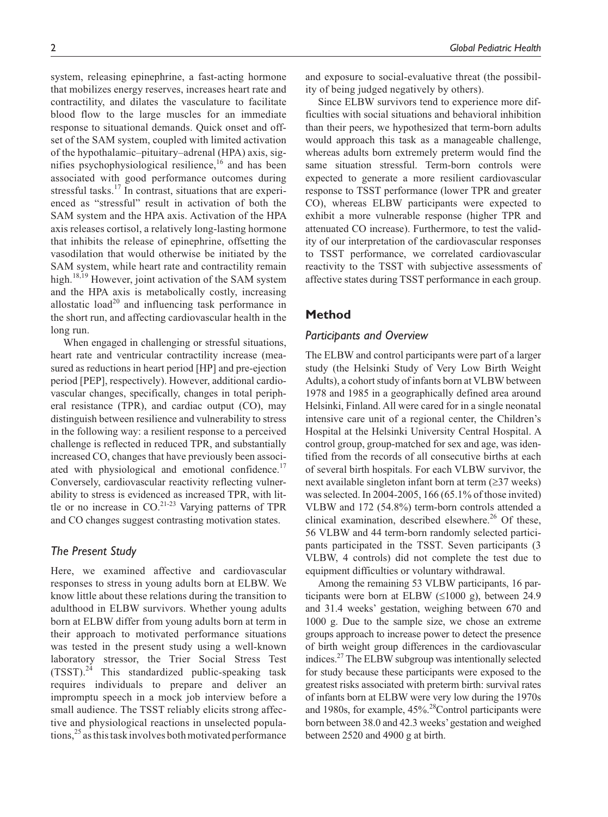system, releasing epinephrine, a fast-acting hormone that mobilizes energy reserves, increases heart rate and contractility, and dilates the vasculature to facilitate blood flow to the large muscles for an immediate response to situational demands. Quick onset and offset of the SAM system, coupled with limited activation of the hypothalamic–pituitary–adrenal (HPA) axis, signifies psychophysiological resilience, $16$  and has been associated with good performance outcomes during stressful tasks.<sup>17</sup> In contrast, situations that are experienced as "stressful" result in activation of both the SAM system and the HPA axis. Activation of the HPA axis releases cortisol, a relatively long-lasting hormone that inhibits the release of epinephrine, offsetting the vasodilation that would otherwise be initiated by the SAM system, while heart rate and contractility remain high.<sup>18,19</sup> However, joint activation of the SAM system and the HPA axis is metabolically costly, increasing allostatic load<sup>20</sup> and influencing task performance in the short run, and affecting cardiovascular health in the long run.

When engaged in challenging or stressful situations, heart rate and ventricular contractility increase (measured as reductions in heart period [HP] and pre-ejection period [PEP], respectively). However, additional cardiovascular changes, specifically, changes in total peripheral resistance (TPR), and cardiac output (CO), may distinguish between resilience and vulnerability to stress in the following way: a resilient response to a perceived challenge is reflected in reduced TPR, and substantially increased CO, changes that have previously been associated with physiological and emotional confidence.<sup>17</sup> Conversely, cardiovascular reactivity reflecting vulnerability to stress is evidenced as increased TPR, with little or no increase in  $CO.<sup>21-23</sup>$  Varying patterns of TPR and CO changes suggest contrasting motivation states.

#### *The Present Study*

Here, we examined affective and cardiovascular responses to stress in young adults born at ELBW. We know little about these relations during the transition to adulthood in ELBW survivors. Whether young adults born at ELBW differ from young adults born at term in their approach to motivated performance situations was tested in the present study using a well-known laboratory stressor, the Trier Social Stress Test  $(TSST).<sup>24</sup>$  This standardized public-speaking task requires individuals to prepare and deliver an impromptu speech in a mock job interview before a small audience. The TSST reliably elicits strong affective and physiological reactions in unselected populations,<sup>25</sup> as this task involves both motivated performance and exposure to social-evaluative threat (the possibility of being judged negatively by others).

Since ELBW survivors tend to experience more difficulties with social situations and behavioral inhibition than their peers, we hypothesized that term-born adults would approach this task as a manageable challenge, whereas adults born extremely preterm would find the same situation stressful. Term-born controls were expected to generate a more resilient cardiovascular response to TSST performance (lower TPR and greater CO), whereas ELBW participants were expected to exhibit a more vulnerable response (higher TPR and attenuated CO increase). Furthermore, to test the validity of our interpretation of the cardiovascular responses to TSST performance, we correlated cardiovascular reactivity to the TSST with subjective assessments of affective states during TSST performance in each group.

## **Method**

#### *Participants and Overview*

The ELBW and control participants were part of a larger study (the Helsinki Study of Very Low Birth Weight Adults), a cohort study of infants born at VLBW between 1978 and 1985 in a geographically defined area around Helsinki, Finland. All were cared for in a single neonatal intensive care unit of a regional center, the Children's Hospital at the Helsinki University Central Hospital. A control group, group-matched for sex and age, was identified from the records of all consecutive births at each of several birth hospitals. For each VLBW survivor, the next available singleton infant born at term (≥37 weeks) was selected. In 2004-2005, 166 (65.1% of those invited) VLBW and 172 (54.8%) term-born controls attended a clinical examination, described elsewhere. $26$  Of these, 56 VLBW and 44 term-born randomly selected participants participated in the TSST. Seven participants (3 VLBW, 4 controls) did not complete the test due to equipment difficulties or voluntary withdrawal.

Among the remaining 53 VLBW participants, 16 participants were born at ELBW  $(\leq 1000 \text{ g})$ , between 24.9 and 31.4 weeks' gestation, weighing between 670 and 1000 g. Due to the sample size, we chose an extreme groups approach to increase power to detect the presence of birth weight group differences in the cardiovascular indices.27 The ELBW subgroup was intentionally selected for study because these participants were exposed to the greatest risks associated with preterm birth: survival rates of infants born at ELBW were very low during the 1970s and 1980s, for example,  $45\%$ <sup>28</sup>Control participants were born between 38.0 and 42.3 weeks' gestation and weighed between 2520 and 4900 g at birth.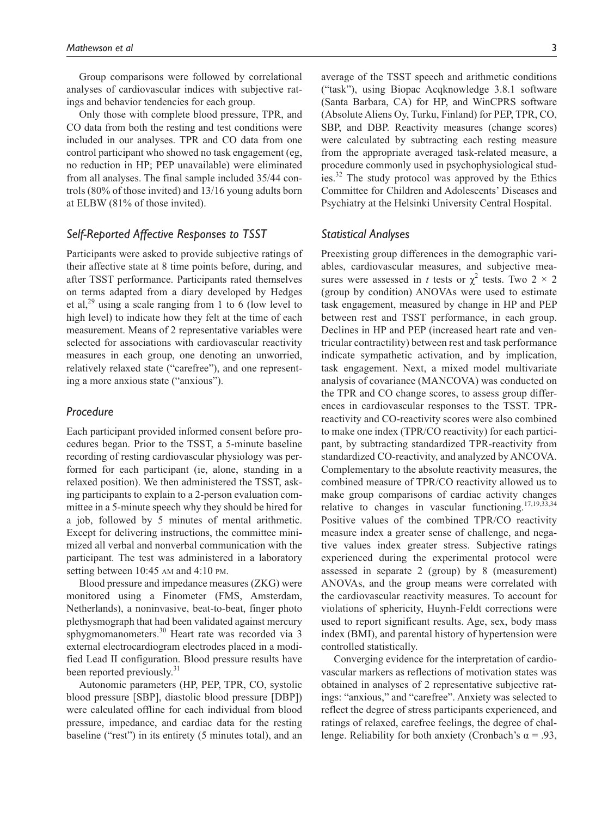Group comparisons were followed by correlational analyses of cardiovascular indices with subjective ratings and behavior tendencies for each group.

Only those with complete blood pressure, TPR, and CO data from both the resting and test conditions were included in our analyses. TPR and CO data from one control participant who showed no task engagement (eg, no reduction in HP; PEP unavailable) were eliminated from all analyses. The final sample included 35/44 controls (80% of those invited) and 13/16 young adults born at ELBW (81% of those invited).

#### *Self-Reported Affective Responses to TSST*

Participants were asked to provide subjective ratings of their affective state at 8 time points before, during, and after TSST performance. Participants rated themselves on terms adapted from a diary developed by Hedges et al,<sup>29</sup> using a scale ranging from 1 to 6 (low level to high level) to indicate how they felt at the time of each measurement. Means of 2 representative variables were selected for associations with cardiovascular reactivity measures in each group, one denoting an unworried, relatively relaxed state ("carefree"), and one representing a more anxious state ("anxious").

#### *Procedure*

Each participant provided informed consent before procedures began. Prior to the TSST, a 5-minute baseline recording of resting cardiovascular physiology was performed for each participant (ie, alone, standing in a relaxed position). We then administered the TSST, asking participants to explain to a 2-person evaluation committee in a 5-minute speech why they should be hired for a job, followed by 5 minutes of mental arithmetic. Except for delivering instructions, the committee minimized all verbal and nonverbal communication with the participant. The test was administered in a laboratory setting between 10:45 am and 4:10 pm.

Blood pressure and impedance measures (ZKG) were monitored using a Finometer (FMS, Amsterdam, Netherlands), a noninvasive, beat-to-beat, finger photo plethysmograph that had been validated against mercury sphygmomanometers.<sup>30</sup> Heart rate was recorded via 3 external electrocardiogram electrodes placed in a modified Lead II configuration. Blood pressure results have been reported previously.<sup>31</sup>

Autonomic parameters (HP, PEP, TPR, CO, systolic blood pressure [SBP], diastolic blood pressure [DBP]) were calculated offline for each individual from blood pressure, impedance, and cardiac data for the resting baseline ("rest") in its entirety (5 minutes total), and an

average of the TSST speech and arithmetic conditions ("task"), using Biopac Acqknowledge 3.8.1 software (Santa Barbara, CA) for HP, and WinCPRS software (Absolute Aliens Oy, Turku, Finland) for PEP, TPR, CO, SBP, and DBP. Reactivity measures (change scores) were calculated by subtracting each resting measure from the appropriate averaged task-related measure, a procedure commonly used in psychophysiological studies. $32$  The study protocol was approved by the Ethics Committee for Children and Adolescents' Diseases and Psychiatry at the Helsinki University Central Hospital.

#### *Statistical Analyses*

Preexisting group differences in the demographic variables, cardiovascular measures, and subjective measures were assessed in *t* tests or  $\chi^2$  tests. Two 2  $\times$  2 (group by condition) ANOVAs were used to estimate task engagement, measured by change in HP and PEP between rest and TSST performance, in each group. Declines in HP and PEP (increased heart rate and ventricular contractility) between rest and task performance indicate sympathetic activation, and by implication, task engagement. Next, a mixed model multivariate analysis of covariance (MANCOVA) was conducted on the TPR and CO change scores, to assess group differences in cardiovascular responses to the TSST. TPRreactivity and CO-reactivity scores were also combined to make one index (TPR/CO reactivity) for each participant, by subtracting standardized TPR-reactivity from standardized CO-reactivity, and analyzed by ANCOVA. Complementary to the absolute reactivity measures, the combined measure of TPR/CO reactivity allowed us to make group comparisons of cardiac activity changes relative to changes in vascular functioning.<sup>17,19,33,34</sup> Positive values of the combined TPR/CO reactivity measure index a greater sense of challenge, and negative values index greater stress. Subjective ratings experienced during the experimental protocol were assessed in separate 2 (group) by 8 (measurement) ANOVAs, and the group means were correlated with the cardiovascular reactivity measures. To account for violations of sphericity, Huynh-Feldt corrections were used to report significant results. Age, sex, body mass index (BMI), and parental history of hypertension were controlled statistically.

Converging evidence for the interpretation of cardiovascular markers as reflections of motivation states was obtained in analyses of 2 representative subjective ratings: "anxious," and "carefree". Anxiety was selected to reflect the degree of stress participants experienced, and ratings of relaxed, carefree feelings, the degree of challenge. Reliability for both anxiety (Cronbach's  $\alpha = .93$ ,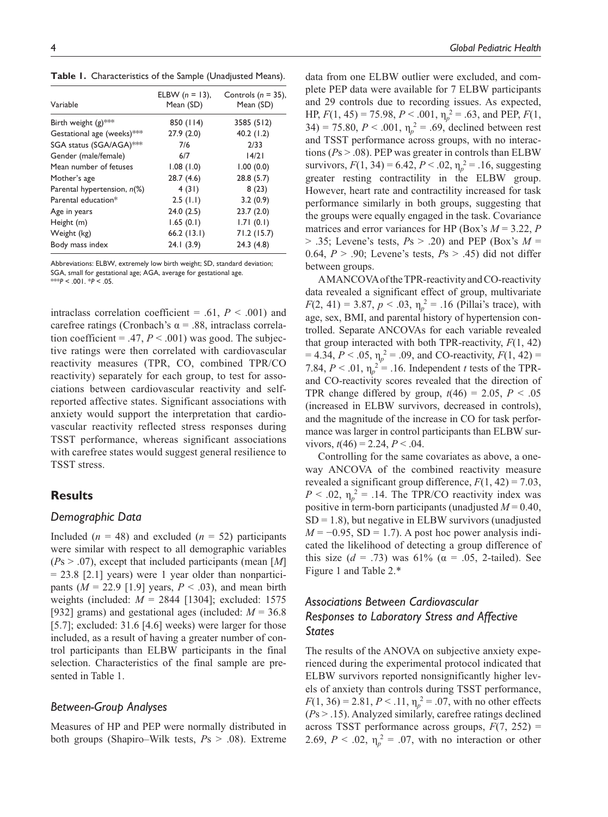**Table 1.** Characteristics of the Sample (Unadjusted Means).

|             | Controls ( $n = 35$ ),         |  |
|-------------|--------------------------------|--|
|             | Mean (SD)                      |  |
| 850 (114)   | 3585 (512)                     |  |
| 27.9(2.0)   | 40.2(1.2)                      |  |
| 7/6         | 2/33                           |  |
| 6/7         | 14/21                          |  |
| 1.08(1.0)   | 1.00(0.0)                      |  |
| 28.7(4.6)   | 28.8(5.7)                      |  |
| 4(31)       | 8(23)                          |  |
| $2.5$ (1.1) | 3.2(0.9)                       |  |
| 24.0(2.5)   | 23.7(2.0)                      |  |
| 1.65(0.1)   | 1.71(0.1)                      |  |
| 66.2(13.1)  | 71.2 (15.7)                    |  |
| 24.1(3.9)   | 24.3(4.8)                      |  |
|             | ELBW $(n = 13)$ ,<br>Mean (SD) |  |

Abbreviations: ELBW, extremely low birth weight; SD, standard deviation; SGA, small for gestational age; AGA, average for gestational age. \*\*\**P* < .001. \**P* < .05.

intraclass correlation coefficient  $= .61, P < .001$  and carefree ratings (Cronbach's  $\alpha$  = .88, intraclass correlation coefficient = .47,  $P < .001$ ) was good. The subjective ratings were then correlated with cardiovascular reactivity measures (TPR, CO, combined TPR/CO reactivity) separately for each group, to test for associations between cardiovascular reactivity and selfreported affective states. Significant associations with anxiety would support the interpretation that cardiovascular reactivity reflected stress responses during TSST performance, whereas significant associations with carefree states would suggest general resilience to TSST stress.

#### **Results**

#### *Demographic Data*

Included  $(n = 48)$  and excluded  $(n = 52)$  participants were similar with respect to all demographic variables (*P*s > .07), except that included participants (mean [*M*]  $= 23.8$  [2.1] years) were 1 year older than nonparticipants  $(M = 22.9$  [1.9] years,  $P < .03$ ), and mean birth weights (included: *M* = 2844 [1304]; excluded: 1575 [932] grams) and gestational ages (included:  $M = 36.8$ [5.7]; excluded: 31.6 [4.6] weeks) were larger for those included, as a result of having a greater number of control participants than ELBW participants in the final selection. Characteristics of the final sample are presented in Table 1.

#### *Between-Group Analyses*

Measures of HP and PEP were normally distributed in both groups (Shapiro–Wilk tests, *P*s > .08). Extreme

data from one ELBW outlier were excluded, and complete PEP data were available for 7 ELBW participants and 29 controls due to recording issues. As expected, HP,  $F(1, 45) = 75.98$ ,  $P < .001$ ,  $\eta_p^2 = .63$ , and PEP,  $F(1, 45) = .001$ 34) = 75.80,  $P < .001$ ,  $\eta_p^2 = .69$ , declined between rest and TSST performance across groups, with no interactions (*P*s > .08). PEP was greater in controls than ELBW survivors,  $F(1, 34) = 6.42$ ,  $P < .02$ ,  $\eta_p^2 = .16$ , suggesting greater resting contractility in the ELBW group. However, heart rate and contractility increased for task performance similarly in both groups, suggesting that the groups were equally engaged in the task. Covariance matrices and error variances for HP (Box's *M* = 3.22, *P* > .35; Levene's tests, *P*s > .20) and PEP (Box's *M* = 0.64, *P* > .90; Levene's tests, *P*s > .45) did not differ between groups.

A MANCOVA of the TPR-reactivity and CO-reactivity data revealed a significant effect of group, multivariate  $F(2, 41) = 3.87, p < .03, \eta_p^2 = .16$  (Pillai's trace), with age, sex, BMI, and parental history of hypertension controlled. Separate ANCOVAs for each variable revealed that group interacted with both TPR-reactivity,  $F(1, 42)$  $= 4.34, P < .05, \eta_p^2 = .09$ , and CO-reactivity,  $F(1, 42) =$ 7.84,  $P < .01$ ,  $\eta_p^2 = .16$ . Independent *t* tests of the TPRand CO-reactivity scores revealed that the direction of TPR change differed by group,  $t(46) = 2.05$ ,  $P < .05$ (increased in ELBW survivors, decreased in controls), and the magnitude of the increase in CO for task performance was larger in control participants than ELBW survivors,  $t(46) = 2.24$ ,  $P < .04$ .

Controlling for the same covariates as above, a oneway ANCOVA of the combined reactivity measure revealed a significant group difference,  $F(1, 42) = 7.03$ ,  $P < .02$ ,  $\eta_p^2 = .14$ . The TPR/CO reactivity index was positive in term-born participants (unadjusted *M* = 0.40,  $SD = 1.8$ ), but negative in ELBW survivors (unadjusted  $M = -0.95$ , SD = 1.7). A post hoc power analysis indicated the likelihood of detecting a group difference of this size (*d* = .73) was 61% (*α* = .05, 2-tailed). See Figure 1 and Table 2.\*

## *Associations Between Cardiovascular Responses to Laboratory Stress and Affective States*

The results of the ANOVA on subjective anxiety experienced during the experimental protocol indicated that ELBW survivors reported nonsignificantly higher levels of anxiety than controls during TSST performance,  $F(1, 36) = 2.81, P < .11, \eta_p^2 = .07$ , with no other effects (*P*s > .15). Analyzed similarly, carefree ratings declined across TSST performance across groups, *F*(7, 252) = 2.69,  $P < .02$ ,  $\eta_p^2 = .07$ , with no interaction or other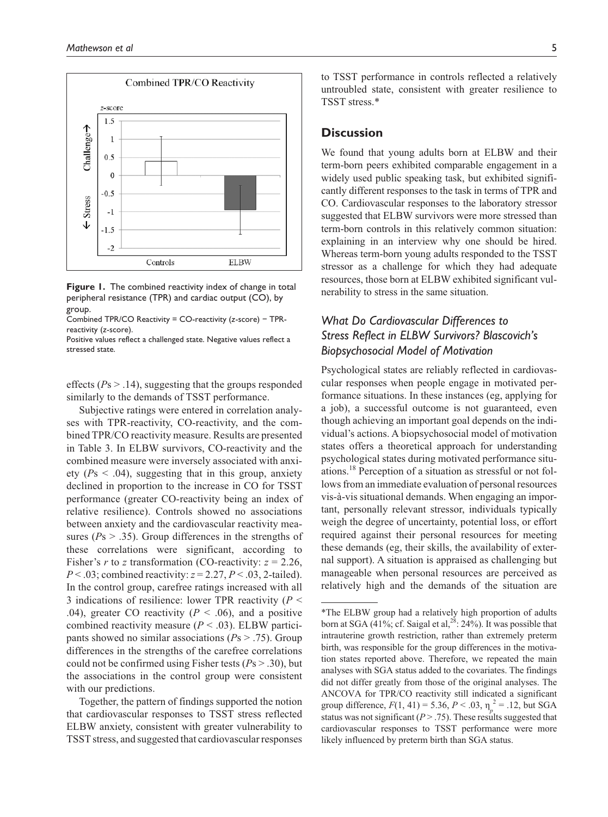

**Figure 1.** The combined reactivity index of change in total peripheral resistance (TPR) and cardiac output (CO), by group.

Combined TPR/CO Reactivity = CO-reactivity (*z*-score) − TPRreactivity (*z*-score).

Positive values reflect a challenged state. Negative values reflect a stressed state.

effects (*P*s > .14), suggesting that the groups responded similarly to the demands of TSST performance.

Subjective ratings were entered in correlation analyses with TPR-reactivity, CO-reactivity, and the combined TPR/CO reactivity measure. Results are presented in Table 3. In ELBW survivors, CO-reactivity and the combined measure were inversely associated with anxiety  $(P<sub>S</sub> < .04)$ , suggesting that in this group, anxiety declined in proportion to the increase in CO for TSST performance (greater CO-reactivity being an index of relative resilience). Controls showed no associations between anxiety and the cardiovascular reactivity measures ( $Ps > .35$ ). Group differences in the strengths of these correlations were significant, according to Fisher's *r* to *z* transformation (CO-reactivity:  $z = 2.26$ ,  $P < .03$ ; combined reactivity:  $z = 2.27$ ,  $P < .03$ , 2-tailed). In the control group, carefree ratings increased with all 3 indications of resilience: lower TPR reactivity (*P* < .04), greater CO reactivity  $(P < .06)$ , and a positive combined reactivity measure  $(P < .03)$ . ELBW participants showed no similar associations ( $Ps > .75$ ). Group differences in the strengths of the carefree correlations could not be confirmed using Fisher tests (*P*s > .30), but the associations in the control group were consistent with our predictions.

Together, the pattern of findings supported the notion that cardiovascular responses to TSST stress reflected ELBW anxiety, consistent with greater vulnerability to TSST stress, and suggested that cardiovascular responses

to TSST performance in controls reflected a relatively untroubled state, consistent with greater resilience to TSST stress.\*

#### **Discussion**

We found that young adults born at ELBW and their term-born peers exhibited comparable engagement in a widely used public speaking task, but exhibited significantly different responses to the task in terms of TPR and CO. Cardiovascular responses to the laboratory stressor suggested that ELBW survivors were more stressed than term-born controls in this relatively common situation: explaining in an interview why one should be hired. Whereas term-born young adults responded to the TSST stressor as a challenge for which they had adequate resources, those born at ELBW exhibited significant vulnerability to stress in the same situation.

## *What Do Cardiovascular Differences to Stress Reflect in ELBW Survivors? Blascovich's Biopsychosocial Model of Motivation*

Psychological states are reliably reflected in cardiovascular responses when people engage in motivated performance situations. In these instances (eg, applying for a job), a successful outcome is not guaranteed, even though achieving an important goal depends on the individual's actions. A biopsychosocial model of motivation states offers a theoretical approach for understanding psychological states during motivated performance situations.18 Perception of a situation as stressful or not follows from an immediate evaluation of personal resources vis-à-vis situational demands. When engaging an important, personally relevant stressor, individuals typically weigh the degree of uncertainty, potential loss, or effort required against their personal resources for meeting these demands (eg, their skills, the availability of external support). A situation is appraised as challenging but manageable when personal resources are perceived as relatively high and the demands of the situation are

<sup>\*</sup>The ELBW group had a relatively high proportion of adults born at SGA (41%; cf. Saigal et al,  $28:24%$ ). It was possible that intrauterine growth restriction, rather than extremely preterm birth, was responsible for the group differences in the motivation states reported above. Therefore, we repeated the main analyses with SGA status added to the covariates. The findings did not differ greatly from those of the original analyses. The ANCOVA for TPR/CO reactivity still indicated a significant group difference,  $F(1, 41) = 5.36, P < .03, \eta_p^2 = .12$ , but SGA status was not significant ( $P > .75$ ). These results suggested that cardiovascular responses to TSST performance were more likely influenced by preterm birth than SGA status.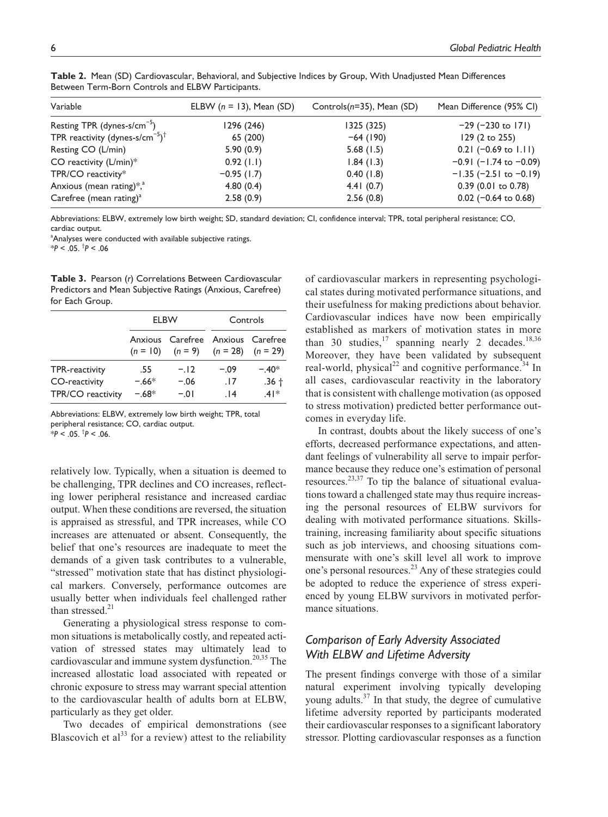| Variable                                                | ELBW $(n = 13)$ , Mean $(SD)$ | Controls( $n=35$ ), Mean (SD) | Mean Difference (95% CI)    |
|---------------------------------------------------------|-------------------------------|-------------------------------|-----------------------------|
| Resting TPR (dynes-s/cm <sup>-5</sup> )                 | 1296 (246)                    | 1325 (325)                    | $-29$ (-230 to 171)         |
| TPR reactivity (dynes-s/cm <sup>-5</sup> ) <sup>†</sup> | 65 (200)                      | $-64(190)$                    | 129 (2 to 255)              |
| Resting CO (L/min)                                      | 5.90(0.9)                     | 5.68(1.5)                     | $0.21$ (-0.69 to 1.11)      |
| CO reactivity (L/min)*                                  | $0.92$ (1.1)                  | 1.84(1.3)                     | $-0.91$ (-1.74 to $-0.09$ ) |
| TPR/CO reactivity*                                      | $-0.95(1.7)$                  | 0.40(1.8)                     | $-1.35$ (-2.51 to -0.19)    |
| Anxious (mean rating) <sup>*,<math>a</math></sup>       | 4.80(0.4)                     | 4.4 $(0.7)$                   | $0.39$ (0.01 to 0.78)       |
| Carefree (mean rating) <sup>a</sup>                     | 2.58(0.9)                     | 2.56(0.8)                     | $0.02$ (-0.64 to 0.68)      |

**Table 2.** Mean (SD) Cardiovascular, Behavioral, and Subjective Indices by Group, With Unadjusted Mean Differences Between Term-Born Controls and ELBW Participants.

Abbreviations: ELBW, extremely low birth weight; SD, standard deviation; CI, confidence interval; TPR, total peripheral resistance; CO, cardiac output.

<sup>a</sup>Analyses were conducted with available subjective ratings.

\**P* < .05. † *P* < .06

**Table 3.** Pearson (*r*) Correlations Between Cardiovascular Predictors and Mean Subjective Ratings (Anxious, Carefree) for Each Group.

|                                                             | <b>ELBW</b>               |                                                                      | Controls             |                              |
|-------------------------------------------------------------|---------------------------|----------------------------------------------------------------------|----------------------|------------------------------|
|                                                             | $(n = 10)$                | Anxious Carefree Anxious Carefree<br>$(n = 9)$ $(n = 28)$ $(n = 29)$ |                      |                              |
| <b>TPR-reactivity</b><br>CO-reactivity<br>TPR/CO reactivity | .55<br>$-.66*$<br>$-.68*$ | $-.12$<br>$-.06$<br>$-.01$                                           | $-.09$<br>.17<br> 14 | $-.40*$<br>$.36 +$<br>$.41*$ |

Abbreviations: ELBW, extremely low birth weight; TPR, total peripheral resistance; CO, cardiac output. \**P* < .05. † *P* < .06.

relatively low. Typically, when a situation is deemed to be challenging, TPR declines and CO increases, reflecting lower peripheral resistance and increased cardiac output. When these conditions are reversed, the situation is appraised as stressful, and TPR increases, while CO increases are attenuated or absent. Consequently, the belief that one's resources are inadequate to meet the demands of a given task contributes to a vulnerable, "stressed" motivation state that has distinct physiological markers. Conversely, performance outcomes are usually better when individuals feel challenged rather than stressed.<sup>21</sup>

Generating a physiological stress response to common situations is metabolically costly, and repeated activation of stressed states may ultimately lead to cardiovascular and immune system dysfunction.<sup>20,35</sup> The increased allostatic load associated with repeated or chronic exposure to stress may warrant special attention to the cardiovascular health of adults born at ELBW, particularly as they get older.

Two decades of empirical demonstrations (see Blascovich et  $al^{33}$  for a review) attest to the reliability

of cardiovascular markers in representing psychological states during motivated performance situations, and their usefulness for making predictions about behavior. Cardiovascular indices have now been empirically established as markers of motivation states in more than 30 studies,  $17$  spanning nearly 2 decades.  $18,36$ Moreover, they have been validated by subsequent real-world, physical<sup>22</sup> and cognitive performance.<sup>34</sup> In all cases, cardiovascular reactivity in the laboratory that is consistent with challenge motivation (as opposed to stress motivation) predicted better performance outcomes in everyday life.

In contrast, doubts about the likely success of one's efforts, decreased performance expectations, and attendant feelings of vulnerability all serve to impair performance because they reduce one's estimation of personal resources. $2^{3,37}$  To tip the balance of situational evaluations toward a challenged state may thus require increasing the personal resources of ELBW survivors for dealing with motivated performance situations. Skillstraining, increasing familiarity about specific situations such as job interviews, and choosing situations commensurate with one's skill level all work to improve one's personal resources.<sup>23</sup> Any of these strategies could be adopted to reduce the experience of stress experienced by young ELBW survivors in motivated performance situations.

## *Comparison of Early Adversity Associated With ELBW and Lifetime Adversity*

The present findings converge with those of a similar natural experiment involving typically developing young adults.37 In that study, the degree of cumulative lifetime adversity reported by participants moderated their cardiovascular responses to a significant laboratory stressor. Plotting cardiovascular responses as a function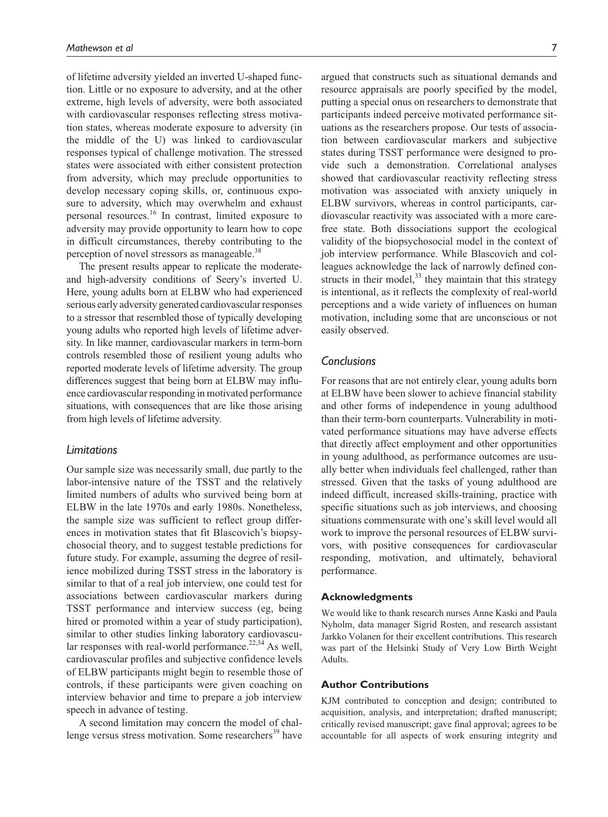of lifetime adversity yielded an inverted U-shaped function. Little or no exposure to adversity, and at the other extreme, high levels of adversity, were both associated with cardiovascular responses reflecting stress motivation states, whereas moderate exposure to adversity (in the middle of the U) was linked to cardiovascular responses typical of challenge motivation. The stressed states were associated with either consistent protection from adversity, which may preclude opportunities to develop necessary coping skills, or, continuous exposure to adversity, which may overwhelm and exhaust personal resources.<sup>16</sup> In contrast, limited exposure to adversity may provide opportunity to learn how to cope in difficult circumstances, thereby contributing to the perception of novel stressors as manageable.<sup>38</sup>

The present results appear to replicate the moderateand high-adversity conditions of Seery's inverted U. Here, young adults born at ELBW who had experienced serious early adversity generated cardiovascular responses to a stressor that resembled those of typically developing young adults who reported high levels of lifetime adversity. In like manner, cardiovascular markers in term-born controls resembled those of resilient young adults who reported moderate levels of lifetime adversity. The group differences suggest that being born at ELBW may influence cardiovascular responding in motivated performance situations, with consequences that are like those arising from high levels of lifetime adversity.

#### *Limitations*

Our sample size was necessarily small, due partly to the labor-intensive nature of the TSST and the relatively limited numbers of adults who survived being born at ELBW in the late 1970s and early 1980s. Nonetheless, the sample size was sufficient to reflect group differences in motivation states that fit Blascovich's biopsychosocial theory, and to suggest testable predictions for future study. For example, assuming the degree of resilience mobilized during TSST stress in the laboratory is similar to that of a real job interview, one could test for associations between cardiovascular markers during TSST performance and interview success (eg, being hired or promoted within a year of study participation), similar to other studies linking laboratory cardiovascular responses with real-world performance.<sup>22,34</sup> As well, cardiovascular profiles and subjective confidence levels of ELBW participants might begin to resemble those of controls, if these participants were given coaching on interview behavior and time to prepare a job interview speech in advance of testing.

A second limitation may concern the model of challenge versus stress motivation. Some researchers<sup>39</sup> have

argued that constructs such as situational demands and resource appraisals are poorly specified by the model, putting a special onus on researchers to demonstrate that participants indeed perceive motivated performance situations as the researchers propose. Our tests of association between cardiovascular markers and subjective states during TSST performance were designed to provide such a demonstration. Correlational analyses showed that cardiovascular reactivity reflecting stress motivation was associated with anxiety uniquely in ELBW survivors, whereas in control participants, cardiovascular reactivity was associated with a more carefree state. Both dissociations support the ecological validity of the biopsychosocial model in the context of job interview performance. While Blascovich and colleagues acknowledge the lack of narrowly defined constructs in their model, $33$  they maintain that this strategy is intentional, as it reflects the complexity of real-world perceptions and a wide variety of influences on human motivation, including some that are unconscious or not easily observed.

#### *Conclusions*

For reasons that are not entirely clear, young adults born at ELBW have been slower to achieve financial stability and other forms of independence in young adulthood than their term-born counterparts. Vulnerability in motivated performance situations may have adverse effects that directly affect employment and other opportunities in young adulthood, as performance outcomes are usually better when individuals feel challenged, rather than stressed. Given that the tasks of young adulthood are indeed difficult, increased skills-training, practice with specific situations such as job interviews, and choosing situations commensurate with one's skill level would all work to improve the personal resources of ELBW survivors, with positive consequences for cardiovascular responding, motivation, and ultimately, behavioral performance.

#### **Acknowledgments**

We would like to thank research nurses Anne Kaski and Paula Nyholm, data manager Sigrid Rosten, and research assistant Jarkko Volanen for their excellent contributions. This research was part of the Helsinki Study of Very Low Birth Weight Adults.

#### **Author Contributions**

KJM contributed to conception and design; contributed to acquisition, analysis, and interpretation; drafted manuscript; critically revised manuscript; gave final approval; agrees to be accountable for all aspects of work ensuring integrity and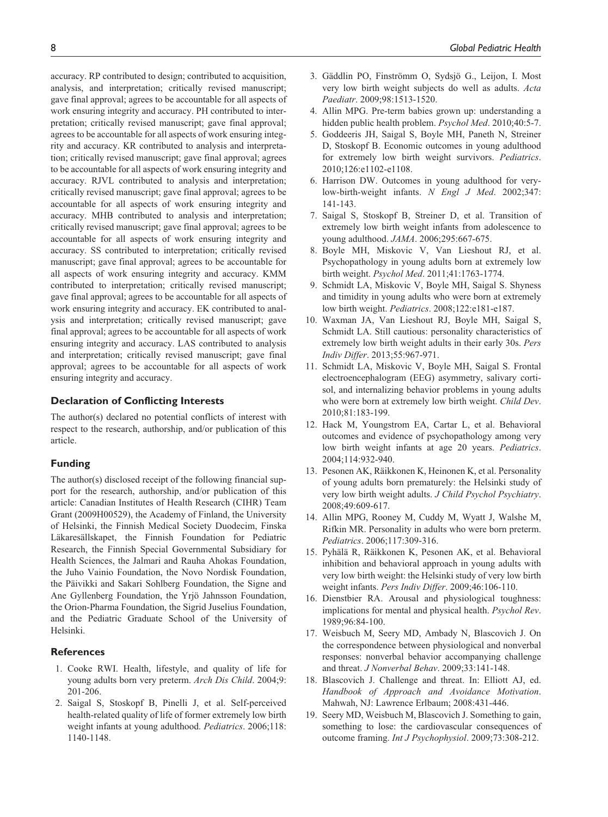accuracy. RP contributed to design; contributed to acquisition, analysis, and interpretation; critically revised manuscript; gave final approval; agrees to be accountable for all aspects of work ensuring integrity and accuracy. PH contributed to interpretation; critically revised manuscript; gave final approval; agrees to be accountable for all aspects of work ensuring integrity and accuracy. KR contributed to analysis and interpretation; critically revised manuscript; gave final approval; agrees to be accountable for all aspects of work ensuring integrity and accuracy. RJVL contributed to analysis and interpretation; critically revised manuscript; gave final approval; agrees to be accountable for all aspects of work ensuring integrity and accuracy. MHB contributed to analysis and interpretation; critically revised manuscript; gave final approval; agrees to be accountable for all aspects of work ensuring integrity and accuracy. SS contributed to interpretation; critically revised manuscript; gave final approval; agrees to be accountable for all aspects of work ensuring integrity and accuracy. KMM contributed to interpretation; critically revised manuscript; gave final approval; agrees to be accountable for all aspects of work ensuring integrity and accuracy. EK contributed to analysis and interpretation; critically revised manuscript; gave final approval; agrees to be accountable for all aspects of work ensuring integrity and accuracy. LAS contributed to analysis and interpretation; critically revised manuscript; gave final approval; agrees to be accountable for all aspects of work ensuring integrity and accuracy.

#### **Declaration of Conflicting Interests**

The author(s) declared no potential conflicts of interest with respect to the research, authorship, and/or publication of this article.

#### **Funding**

The author(s) disclosed receipt of the following financial support for the research, authorship, and/or publication of this article: Canadian Institutes of Health Research (CIHR) Team Grant (2009H00529), the Academy of Finland, the University of Helsinki, the Finnish Medical Society Duodecim, Finska Läkaresällskapet, the Finnish Foundation for Pediatric Research, the Finnish Special Governmental Subsidiary for Health Sciences, the Jalmari and Rauha Ahokas Foundation, the Juho Vainio Foundation, the Novo Nordisk Foundation, the Päivikki and Sakari Sohlberg Foundation, the Signe and Ane Gyllenberg Foundation, the Yrjö Jahnsson Foundation, the Orion-Pharma Foundation, the Sigrid Juselius Foundation, and the Pediatric Graduate School of the University of Helsinki.

#### **References**

- 1. Cooke RWI. Health, lifestyle, and quality of life for young adults born very preterm. *Arch Dis Child*. 2004;9: 201-206.
- 2. Saigal S, Stoskopf B, Pinelli J, et al. Self-perceived health-related quality of life of former extremely low birth weight infants at young adulthood. *Pediatrics*. 2006;118: 1140-1148.
- 3. Gäddlin PO, Finströmm O, Sydsjö G., Leijon, I. Most very low birth weight subjects do well as adults. *Acta Paediatr*. 2009;98:1513-1520.
- 4. Allin MPG. Pre-term babies grown up: understanding a hidden public health problem. *Psychol Med*. 2010;40:5-7.
- 5. Goddeeris JH, Saigal S, Boyle MH, Paneth N, Streiner D, Stoskopf B. Economic outcomes in young adulthood for extremely low birth weight survivors. *Pediatrics*. 2010;126:e1102-e1108.
- 6. Harrison DW. Outcomes in young adulthood for verylow-birth-weight infants. *N Engl J Med*. 2002;347: 141-143.
- 7. Saigal S, Stoskopf B, Streiner D, et al. Transition of extremely low birth weight infants from adolescence to young adulthood. *JAMA*. 2006;295:667-675.
- 8. Boyle MH, Miskovic V, Van Lieshout RJ, et al. Psychopathology in young adults born at extremely low birth weight. *Psychol Med*. 2011;41:1763-1774.
- 9. Schmidt LA, Miskovic V, Boyle MH, Saigal S. Shyness and timidity in young adults who were born at extremely low birth weight. *Pediatrics*. 2008;122:e181-e187.
- 10. Waxman JA, Van Lieshout RJ, Boyle MH, Saigal S, Schmidt LA. Still cautious: personality characteristics of extremely low birth weight adults in their early 30s. *Pers Indiv Differ*. 2013;55:967-971.
- 11. Schmidt LA, Miskovic V, Boyle MH, Saigal S. Frontal electroencephalogram (EEG) asymmetry, salivary cortisol, and internalizing behavior problems in young adults who were born at extremely low birth weight. *Child Dev*. 2010;81:183-199.
- 12. Hack M, Youngstrom EA, Cartar L, et al. Behavioral outcomes and evidence of psychopathology among very low birth weight infants at age 20 years. *Pediatrics*. 2004;114:932-940.
- 13. Pesonen AK, Räikkonen K, Heinonen K, et al. Personality of young adults born prematurely: the Helsinki study of very low birth weight adults. *J Child Psychol Psychiatry*. 2008;49:609-617.
- 14. Allin MPG, Rooney M, Cuddy M, Wyatt J, Walshe M, Rifkin MR. Personality in adults who were born preterm. *Pediatrics*. 2006;117:309-316.
- 15. Pyhälä R, Räikkonen K, Pesonen AK, et al. Behavioral inhibition and behavioral approach in young adults with very low birth weight: the Helsinki study of very low birth weight infants. *Pers Indiv Differ*. 2009;46:106-110.
- 16. Dienstbier RA. Arousal and physiological toughness: implications for mental and physical health. *Psychol Rev*. 1989;96:84-100.
- 17. Weisbuch M, Seery MD, Ambady N, Blascovich J. On the correspondence between physiological and nonverbal responses: nonverbal behavior accompanying challenge and threat. *J Nonverbal Behav*. 2009;33:141-148.
- 18. Blascovich J. Challenge and threat. In: Elliott AJ, ed. *Handbook of Approach and Avoidance Motivation*. Mahwah, NJ: Lawrence Erlbaum; 2008:431-446.
- 19. Seery MD, Weisbuch M, Blascovich J. Something to gain, something to lose: the cardiovascular consequences of outcome framing. *Int J Psychophysiol*. 2009;73:308-212.